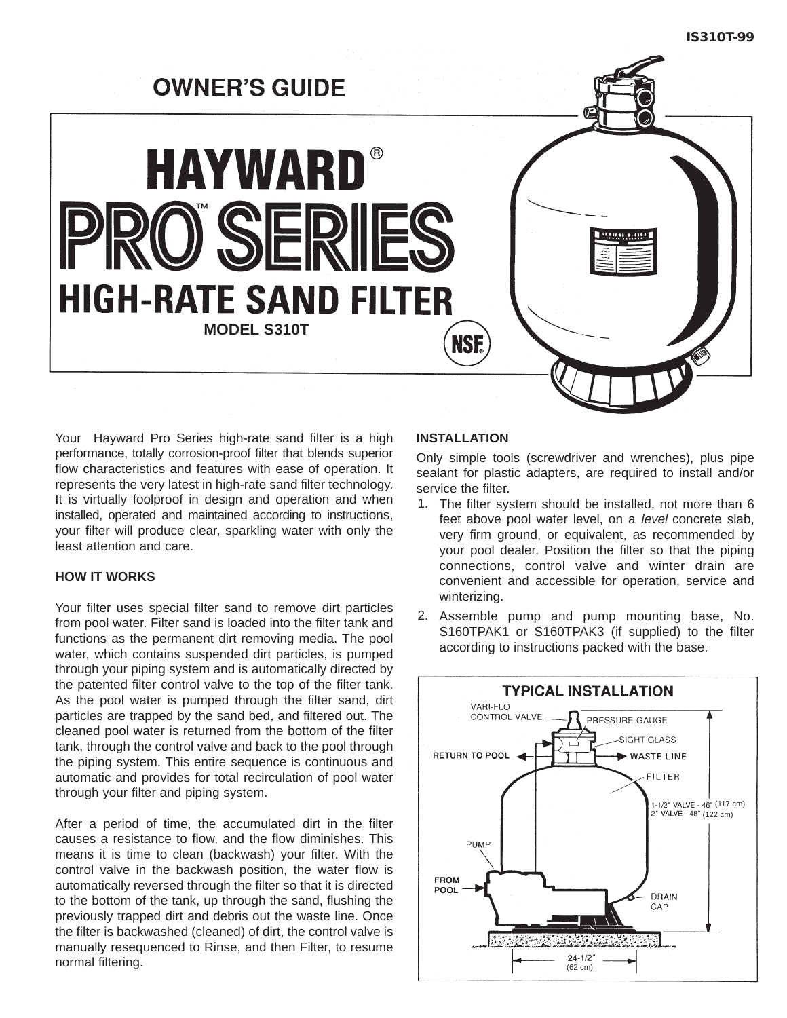# **OWNER'S GUIDE HAYWARD®** ) SER **HIGH-RATE SAND FILTER MODEL S310TNSF.**

Your Hayward Pro Series high-rate sand filter is a high performance, totally corrosion-proof filter that blends superior flow characteristics and features with ease of operation. It represents the very latest in high-rate sand filter technology. It is virtually foolproof in design and operation and when installed, operated and maintained according to instructions, your filter will produce clear, sparkling water with only the least attention and care.

#### **HOW IT WORKS**

Your filter uses special filter sand to remove dirt particles from pool water. Filter sand is loaded into the filter tank and functions as the permanent dirt removing media. The pool water, which contains suspended dirt particles, is pumped through your piping system and is automatically directed by the patented filter control valve to the top of the filter tank. As the pool water is pumped through the filter sand, dirt particles are trapped by the sand bed, and filtered out. The cleaned pool water is returned from the bottom of the filter tank, through the control valve and back to the pool through the piping system. This entire sequence is continuous and automatic and provides for total recirculation of pool water through your filter and piping system.

After a period of time, the accumulated dirt in the filter causes a resistance to flow, and the flow diminishes. This means it is time to clean (backwash) your filter. With the control valve in the backwash position, the water flow is automatically reversed through the filter so that it is directed to the bottom of the tank, up through the sand, flushing the previously trapped dirt and debris out the waste line. Once the filter is backwashed (cleaned) of dirt, the control valve is manually resequenced to Rinse, and then Filter, to resume normal filtering.

#### **INSTALLATION**

Only simple tools (screwdriver and wrenches), plus pipe sealant for plastic adapters, are required to install and/or service the filter.

- 1. The filter system should be installed, not more than 6 feet above pool water level, on a level concrete slab, very firm ground, or equivalent, as recommended by your pool dealer. Position the filter so that the piping connections, control valve and winter drain are convenient and accessible for operation, service and winterizing.
- 2. Assemble pump and pump mounting base, No. S160TPAK1 or S160TPAK3 (if supplied) to the filter according to instructions packed with the base.

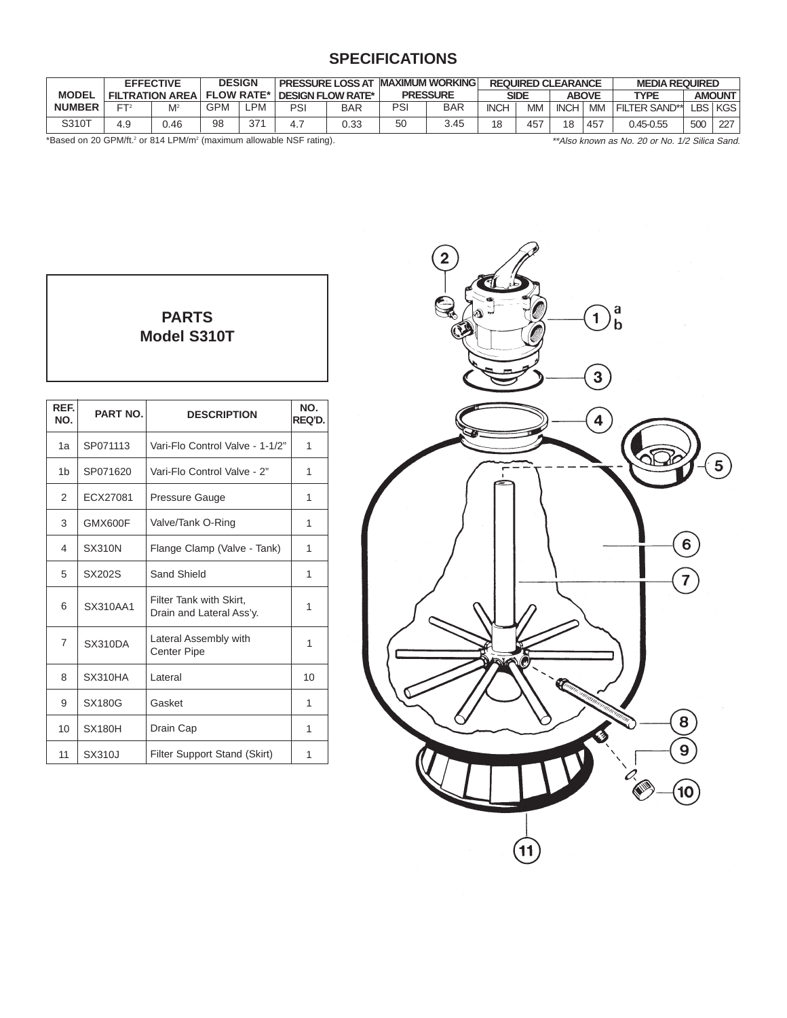# **SPECIFICATIONS**

|               | <b>EFFECTIVE</b>       |       | <b>DESIGN</b>     |           |     | <b>PRESSURE LOSS AT</b>  |                 | <b>MAXIMUM WORKING</b> |                      | <b>REQUIRED CLEARANCE</b> |                              |     | <b>MEDIA REQUIRED</b> |     |     |
|---------------|------------------------|-------|-------------------|-----------|-----|--------------------------|-----------------|------------------------|----------------------|---------------------------|------------------------------|-----|-----------------------|-----|-----|
| <b>MODEL</b>  | <b>FILTRATION AREA</b> |       | <b>FLOW RATE*</b> |           |     | <b>DESIGN FLOW RATE*</b> | <b>PRESSURE</b> |                        | SIDE<br><b>ABOVE</b> |                           | <b>AMOUNT</b><br><b>TYPE</b> |     |                       |     |     |
| <b>NUMBER</b> | ET:                    | $M^2$ | GPM               | <b>PM</b> | PSI | <b>BAR</b>               | PSI             | BAR                    | <b>INCH</b>          | <b>MM</b>                 | <b>INCH</b>                  | MM  | <b>FILTER SAND**</b>  | _BS | KGS |
| S310T         | 4.9                    | 0.46  | 98                | 37'       |     | 0.33                     | 50              | 3.45                   | 18                   | 457                       | 18                           | 457 | 0.45-0.55             | 500 | 227 |

\*Based on 20 GPM/ft.2 or 814 LPM/m2 (maximum allowable NSF rating). \*\*Also known as No. 20 or No. 1/2 Silica Sand.

| <b>PARTS</b>       |  |
|--------------------|--|
| <b>Model S310T</b> |  |
|                    |  |
|                    |  |
|                    |  |

 $\mathsf{l}$ 

| REF.<br>NO.    | PART NO.      | <b>DESCRIPTION</b>                                  | NO.<br>REQ'D. |
|----------------|---------------|-----------------------------------------------------|---------------|
| 1a             | SP071113      | Vari-Flo Control Valve - 1-1/2"                     | 1             |
| 1 <sub>b</sub> | SP071620      | Vari-Flo Control Valve - 2"                         | 1             |
| $\overline{2}$ | ECX27081      | Pressure Gauge                                      | 1             |
| 3              | GMX600F       | Valve/Tank O-Ring                                   | 1             |
| 4              | <b>SX310N</b> | Flange Clamp (Valve - Tank)                         | 1             |
| 5              | SX202S        | Sand Shield                                         | 1             |
| 6              | SX310AA1      | Filter Tank with Skirt,<br>Drain and Lateral Ass'y. | 1             |
| 7              | SX310DA       | Lateral Assembly with<br><b>Center Pipe</b>         | 1             |
| 8              | SX310HA       | Lateral                                             | 10            |
| 9              | <b>SX180G</b> | Gasket                                              | 1             |
| 10             | <b>SX180H</b> | Drain Cap                                           | 1             |
| 11             | SX310J        | Filter Support Stand (Skirt)                        | 1             |

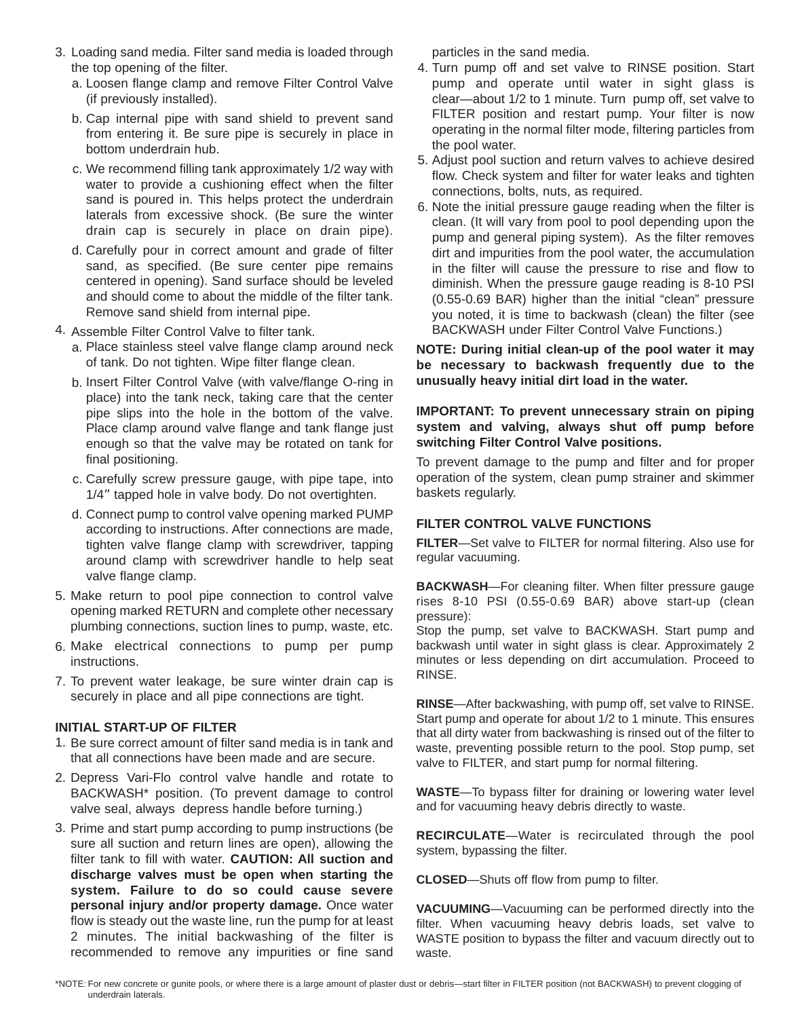- 3. Loading sand media. Filter sand media is loaded through the top opening of the filter.
	- a. Loosen flange clamp and remove Filter Control Valve (if previously installed).
	- b. Cap internal pipe with sand shield to prevent sand from entering it. Be sure pipe is securely in place in bottom underdrain hub.
	- c. We recommend filling tank approximately 1/2 way with water to provide a cushioning effect when the filter sand is poured in. This helps protect the underdrain laterals from excessive shock. (Be sure the winter drain cap is securely in place on drain pipe).
	- d. Carefully pour in correct amount and grade of filter sand, as specified. (Be sure center pipe remains centered in opening). Sand surface should be leveled and should come to about the middle of the filter tank. Remove sand shield from internal pipe.
- 4. Assemble Filter Control Valve to filter tank.
	- Place stainless steel valve flange clamp around neck a. of tank. Do not tighten. Wipe filter flange clean.
	- b. Insert Filter Control Valve (with valve/flange O-ring in place) into the tank neck, taking care that the center pipe slips into the hole in the bottom of the valve. Place clamp around valve flange and tank flange just enough so that the valve may be rotated on tank for final positioning.
	- c. Carefully screw pressure gauge, with pipe tape, into 1/4" tapped hole in valve body. Do not overtighten.
	- d. Connect pump to control valve opening marked PUMP according to instructions. After connections are made, tighten valve flange clamp with screwdriver, tapping around clamp with screwdriver handle to help seat valve flange clamp.
- 5. Make return to pool pipe connection to control valve opening marked RETURN and complete other necessary plumbing connections, suction lines to pump, waste, etc.
- 6. Make electrical connections to pump per pump instructions.
- 7. To prevent water leakage, be sure winter drain cap is securely in place and all pipe connections are tight.

#### **INITIAL START-UP OF FILTER**

- 1. Be sure correct amount of filter sand media is in tank and that all connections have been made and are secure.
- 2. Depress Vari-Flo control valve handle and rotate to BACKWASH\* position. (To prevent damage to control valve seal, always depress handle before turning.)
- 3. Prime and start pump according to pump instructions (be sure all suction and return lines are open), allowing the filter tank to fill with water. **CAUTION: All suction and discharge valves must be open when starting the system. Failure to do so could cause severe personal injury and/or property damage.** Once water flow is steady out the waste line, run the pump for at least 2 minutes. The initial backwashing of the filter is recommended to remove any impurities or fine sand

particles in the sand media.

- 4. Turn pump off and set valve to RINSE position. Start pump and operate until water in sight glass is clear—about 1/2 to 1 minute. Turn pump off, set valve to FILTER position and restart pump. Your filter is now operating in the normal filter mode, filtering particles from the pool water.
- 5. Adjust pool suction and return valves to achieve desired flow. Check system and filter for water leaks and tighten connections, bolts, nuts, as required.
- 6. Note the initial pressure gauge reading when the filter is clean. (It will vary from pool to pool depending upon the pump and general piping system). As the filter removes dirt and impurities from the pool water, the accumulation in the filter will cause the pressure to rise and flow to diminish. When the pressure gauge reading is 8-10 PSI (0.55-0.69 BAR) higher than the initial "clean" pressure you noted, it is time to backwash (clean) the filter (see BACKWASH under Filter Control Valve Functions.)

**NOTE: During initial clean-up of the pool water it may be necessary to backwash frequently due to the unusually heavy initial dirt load in the water.**

**IMPORTANT: To prevent unnecessary strain on piping system and valving, always shut off pump before switching Filter Control Valve positions.**

To prevent damage to the pump and filter and for proper operation of the system, clean pump strainer and skimmer baskets regularly.

#### **FILTER CONTROL VALVE FUNCTIONS**

**FILTER**—Set valve to FILTER for normal filtering. Also use for regular vacuuming.

**BACKWASH**—For cleaning filter. When filter pressure gauge rises 8-10 PSI (0.55-0.69 BAR) above start-up (clean pressure):

Stop the pump, set valve to BACKWASH. Start pump and backwash until water in sight glass is clear. Approximately 2 minutes or less depending on dirt accumulation. Proceed to RINSE.

**RINSE**—After backwashing, with pump off, set valve to RINSE. Start pump and operate for about 1/2 to 1 minute. This ensures that all dirty water from backwashing is rinsed out of the filter to waste, preventing possible return to the pool. Stop pump, set valve to FILTER, and start pump for normal filtering.

**WASTE**—To bypass filter for draining or lowering water level and for vacuuming heavy debris directly to waste.

**RECIRCULATE**—Water is recirculated through the pool system, bypassing the filter.

**CLOSED**—Shuts off flow from pump to filter.

**VACUUMING**—Vacuuming can be performed directly into the filter. When vacuuming heavy debris loads, set valve to WASTE position to bypass the filter and vacuum directly out to waste.